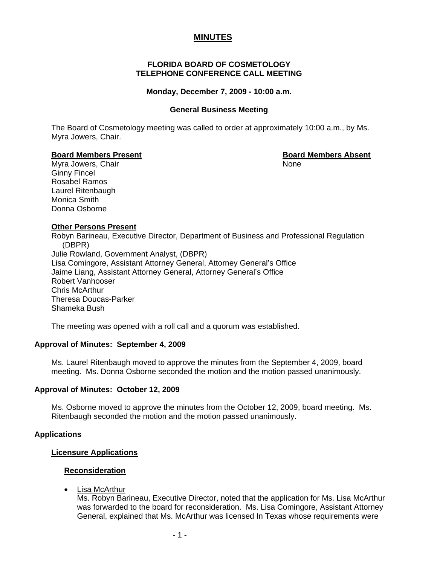# **MINUTES**

# **FLORIDA BOARD OF COSMETOLOGY TELEPHONE CONFERENCE CALL MEETING**

#### **Monday, December 7, 2009 - 10:00 a.m.**

#### **General Business Meeting**

The Board of Cosmetology meeting was called to order at approximately 10:00 a.m., by Ms. Myra Jowers, Chair.

# **Board Members Present Board Members Absent**

Myra Jowers, Chair None Ginny Fincel Rosabel Ramos Laurel Ritenbaugh Monica Smith Donna Osborne

# **Other Persons Present**

Robyn Barineau, Executive Director, Department of Business and Professional Regulation (DBPR) Julie Rowland, Government Analyst, (DBPR) Lisa Comingore, Assistant Attorney General, Attorney General's Office Jaime Liang, Assistant Attorney General, Attorney General's Office Robert Vanhooser Chris McArthur Theresa Doucas-Parker Shameka Bush

The meeting was opened with a roll call and a quorum was established.

#### **Approval of Minutes: September 4, 2009**

Ms. Laurel Ritenbaugh moved to approve the minutes from the September 4, 2009, board meeting. Ms. Donna Osborne seconded the motion and the motion passed unanimously.

#### **Approval of Minutes: October 12, 2009**

Ms. Osborne moved to approve the minutes from the October 12, 2009, board meeting. Ms. Ritenbaugh seconded the motion and the motion passed unanimously.

#### **Applications**

#### **Licensure Applications**

#### **Reconsideration**

• Lisa McArthur

Ms. Robyn Barineau, Executive Director, noted that the application for Ms. Lisa McArthur was forwarded to the board for reconsideration. Ms. Lisa Comingore, Assistant Attorney General, explained that Ms. McArthur was licensed In Texas whose requirements were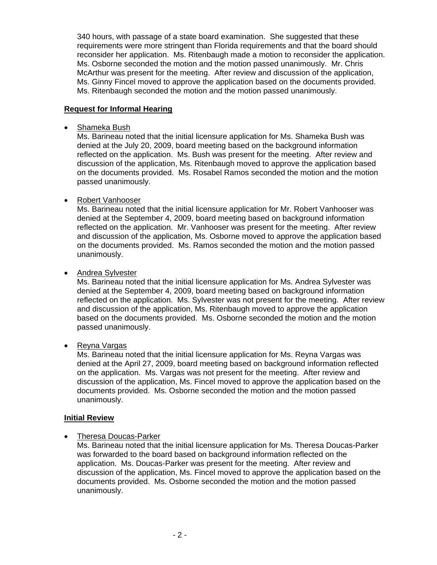340 hours, with passage of a state board examination. She suggested that these requirements were more stringent than Florida requirements and that the board should reconsider her application. Ms. Ritenbaugh made a motion to reconsider the application. Ms. Osborne seconded the motion and the motion passed unanimously. Mr. Chris McArthur was present for the meeting. After review and discussion of the application, Ms. Ginny Fincel moved to approve the application based on the documents provided. Ms. Ritenbaugh seconded the motion and the motion passed unanimously.

# **Request for Informal Hearing**

• Shameka Bush

Ms. Barineau noted that the initial licensure application for Ms. Shameka Bush was denied at the July 20, 2009, board meeting based on the background information reflected on the application. Ms. Bush was present for the meeting. After review and discussion of the application, Ms. Ritenbaugh moved to approve the application based on the documents provided. Ms. Rosabel Ramos seconded the motion and the motion passed unanimously.

# • Robert Vanhooser

Ms. Barineau noted that the initial licensure application for Mr. Robert Vanhooser was denied at the September 4, 2009, board meeting based on background information reflected on the application. Mr. Vanhooser was present for the meeting. After review and discussion of the application, Ms. Osborne moved to approve the application based on the documents provided. Ms. Ramos seconded the motion and the motion passed unanimously.

# • Andrea Sylvester

Ms. Barineau noted that the initial licensure application for Ms. Andrea Sylvester was denied at the September 4, 2009, board meeting based on background information reflected on the application. Ms. Sylvester was not present for the meeting. After review and discussion of the application, Ms. Ritenbaugh moved to approve the application based on the documents provided. Ms. Osborne seconded the motion and the motion passed unanimously.

• Reyna Vargas

Ms. Barineau noted that the initial licensure application for Ms. Reyna Vargas was denied at the April 27, 2009, board meeting based on background information reflected on the application. Ms. Vargas was not present for the meeting. After review and discussion of the application, Ms. Fincel moved to approve the application based on the documents provided. Ms. Osborne seconded the motion and the motion passed unanimously.

# **Initial Review**

• Theresa Doucas-Parker

Ms. Barineau noted that the initial licensure application for Ms. Theresa Doucas-Parker was forwarded to the board based on background information reflected on the application. Ms. Doucas-Parker was present for the meeting. After review and discussion of the application, Ms. Fincel moved to approve the application based on the documents provided. Ms. Osborne seconded the motion and the motion passed unanimously.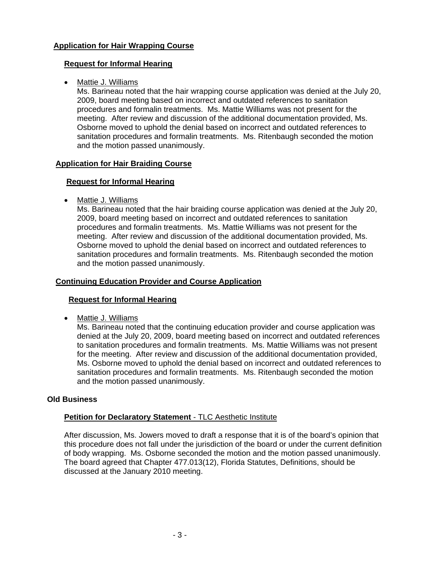# **Application for Hair Wrapping Course**

# **Request for Informal Hearing**

• Mattie J. Williams

Ms. Barineau noted that the hair wrapping course application was denied at the July 20, 2009, board meeting based on incorrect and outdated references to sanitation procedures and formalin treatments. Ms. Mattie Williams was not present for the meeting. After review and discussion of the additional documentation provided, Ms. Osborne moved to uphold the denial based on incorrect and outdated references to sanitation procedures and formalin treatments. Ms. Ritenbaugh seconded the motion and the motion passed unanimously.

# **Application for Hair Braiding Course**

# **Request for Informal Hearing**

• Mattie J. Williams

Ms. Barineau noted that the hair braiding course application was denied at the July 20, 2009, board meeting based on incorrect and outdated references to sanitation procedures and formalin treatments. Ms. Mattie Williams was not present for the meeting. After review and discussion of the additional documentation provided, Ms. Osborne moved to uphold the denial based on incorrect and outdated references to sanitation procedures and formalin treatments. Ms. Ritenbaugh seconded the motion and the motion passed unanimously.

# **Continuing Education Provider and Course Application**

# **Request for Informal Hearing**

• Mattie J. Williams

Ms. Barineau noted that the continuing education provider and course application was denied at the July 20, 2009, board meeting based on incorrect and outdated references to sanitation procedures and formalin treatments. Ms. Mattie Williams was not present for the meeting. After review and discussion of the additional documentation provided, Ms. Osborne moved to uphold the denial based on incorrect and outdated references to sanitation procedures and formalin treatments. Ms. Ritenbaugh seconded the motion and the motion passed unanimously.

#### **Old Business**

# **Petition for Declaratory Statement - TLC Aesthetic Institute**

After discussion, Ms. Jowers moved to draft a response that it is of the board's opinion that this procedure does not fall under the jurisdiction of the board or under the current definition of body wrapping. Ms. Osborne seconded the motion and the motion passed unanimously. The board agreed that Chapter 477.013(12), Florida Statutes, Definitions, should be discussed at the January 2010 meeting.